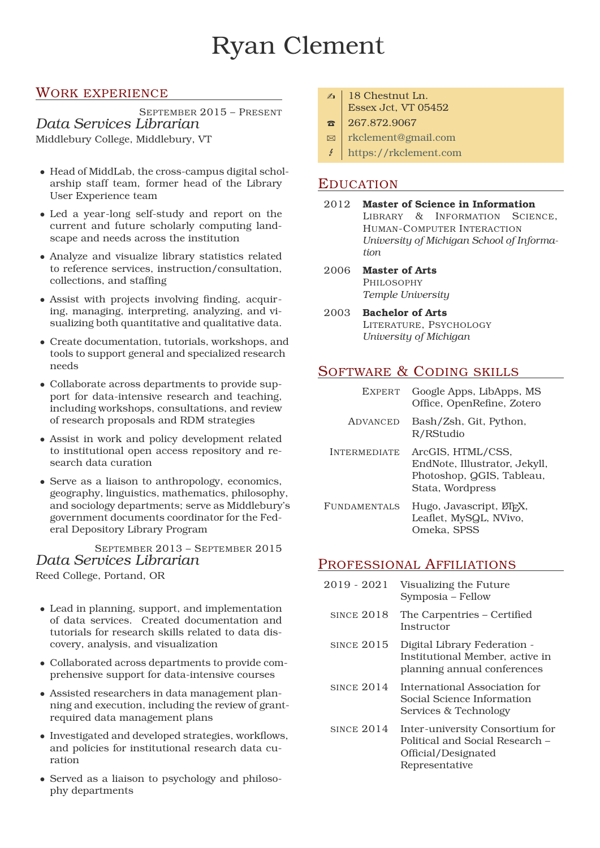# Ryan Clement

## WORK EXPERIENCE

SEPTEMBER 2015 – PRESENT *Data Services Librarian* Middlebury College, Middlebury, VT

- Head of MiddLab, the cross-campus digital scholarship staff team, former head of the Library User Experience team
- Led a year-long self-study and report on the current and future scholarly computing landscape and needs across the institution
- Analyze and visualize library statistics related to reference services, instruction/consultation, collections, and staffing
- Assist with projects involving finding, acquiring, managing, interpreting, analyzing, and visualizing both quantitative and qualitative data.
- Create documentation, tutorials, workshops, and tools to support general and specialized research needs
- Collaborate across departments to provide support for data-intensive research and teaching, including workshops, consultations, and review of research proposals and RDM strategies
- Assist in work and policy development related to institutional open access repository and research data curation
- Serve as a liaison to anthropology, economics, geography, linguistics, mathematics, philosophy, and sociology departments; serve as Middlebury's government documents coordinator for the Federal Depository Library Program

SEPTEMBER 2013 – SEPTEMBER 2015 *Data Services Librarian* Reed College, Portand, OR

- Lead in planning, support, and implementation of data services. Created documentation and tutorials for research skills related to data discovery, analysis, and visualization
- Collaborated across departments to provide comprehensive support for data-intensive courses
- Assisted researchers in data management planning and execution, including the review of grantrequired data management plans
- Investigated and developed strategies, workflows, and policies for institutional research data curation
- Served as a liaison to psychology and philosophy departments
- $\leq$  | 18 Chestnut Ln. Essex Jct, VT 05452
- $\bar{\mathbf{a}}$  | 267.872.9067
- **Ex** | [rkclement@gmail.com](mailto:rkclement@gmail.com)
- E [https://rkclement.com](http://https://rkclement.com)

## EDUCATION

- 2012 **Master of Science in Information** LIBRARY & INFORMATION SCIENCE. HUMAN-COMPUTER INTERACTION *University of Michigan School of Information*
- 2006 **Master of Arts** PHILOSOPHY *Temple University*
- 2003 **Bachelor of Arts** LITERATURE, PSYCHOLOGY *University of Michigan*

# SOFTWARE & CODING SKILLS

| <b>EXPERT</b>       | Google Apps, LibApps, MS<br>Office, OpenRefine, Zotero                                              |
|---------------------|-----------------------------------------------------------------------------------------------------|
| ADVANCED            | Bash/Zsh, Git, Python,<br>R/RStudio                                                                 |
| <b>INTERMEDIATE</b> | ArcGIS, HTML/CSS,<br>EndNote, Illustrator, Jekyll,<br>Photoshop, QGIS, Tableau,<br>Stata, Wordpress |
| <b>FUNDAMENTALS</b> | Hugo, Javascript, LTFX,<br>Leaflet, MySQL, NVivo,<br>Omeka. SPSS                                    |

## PROFESSIONAL AFFILIATIONS

| 2019 - 2021       | Visualizing the Future<br>Symposia - Fellow                                                                 |
|-------------------|-------------------------------------------------------------------------------------------------------------|
| <b>SINCE 2018</b> | The Carpentries – Certified<br>Instructor                                                                   |
| <b>SINCE 2015</b> | Digital Library Federation -<br>Institutional Member, active in<br>planning annual conferences              |
| <b>SINCE 2014</b> | International Association for<br>Social Science Information<br>Services & Technology                        |
| <b>SINCE 2014</b> | Inter-university Consortium for<br>Political and Social Research –<br>Official/Designated<br>Representative |